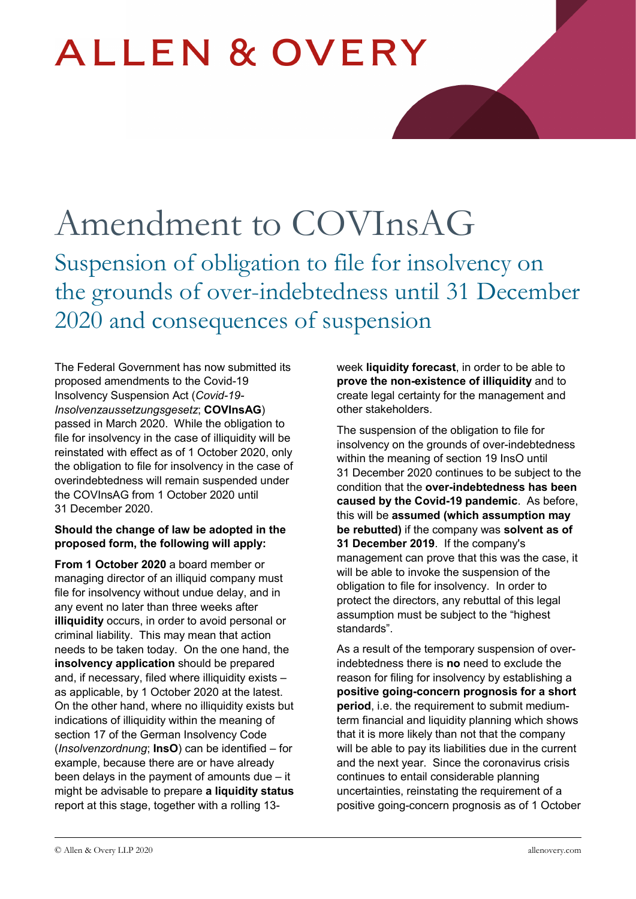# **ALLEN & OVERY**

## Amendment to COVInsAG Suspension of obligation to file for insolvency on the grounds of over-indebtedness until 31 December 2020 and consequences of suspension

The Federal Government has now submitted its proposed amendments to the Covid-19 Insolvency Suspension Act (*Covid-19- Insolvenzaussetzungsgesetz*; **COVInsAG**) passed in March 2020. While the obligation to file for insolvency in the case of illiquidity will be reinstated with effect as of 1 October 2020, only the obligation to file for insolvency in the case of overindebtedness will remain suspended under the COVInsAG from 1 October 2020 until 31 December 2020.

#### **Should the change of law be adopted in the proposed form, the following will apply:**

**From 1 October 2020** a board member or managing director of an illiquid company must file for insolvency without undue delay, and in any event no later than three weeks after **illiquidity** occurs, in order to avoid personal or criminal liability. This may mean that action needs to be taken today. On the one hand, the **insolvency application** should be prepared and, if necessary, filed where illiquidity exists – as applicable, by 1 October 2020 at the latest. On the other hand, where no illiquidity exists but indications of illiquidity within the meaning of section 17 of the German Insolvency Code (*Insolvenzordnung*; **InsO**) can be identified – for example, because there are or have already been delays in the payment of amounts due – it might be advisable to prepare **a liquidity status** report at this stage, together with a rolling 13week **liquidity forecast**, in order to be able to **prove the non-existence of illiquidity** and to create legal certainty for the management and other stakeholders.

The suspension of the obligation to file for insolvency on the grounds of over-indebtedness within the meaning of section 19 InsO until 31 December 2020 continues to be subject to the condition that the **over-indebtedness has been caused by the Covid-19 pandemic**. As before, this will be **assumed (which assumption may be rebutted)** if the company was **solvent as of 31 December 2019**. If the company's management can prove that this was the case, it will be able to invoke the suspension of the obligation to file for insolvency. In order to protect the directors, any rebuttal of this legal assumption must be subject to the "highest standards".

As a result of the temporary suspension of overindebtedness there is **no** need to exclude the reason for filing for insolvency by establishing a **positive going-concern prognosis for a short period**, i.e. the requirement to submit mediumterm financial and liquidity planning which shows that it is more likely than not that the company will be able to pay its liabilities due in the current and the next year. Since the coronavirus crisis continues to entail considerable planning uncertainties, reinstating the requirement of a positive going-concern prognosis as of 1 October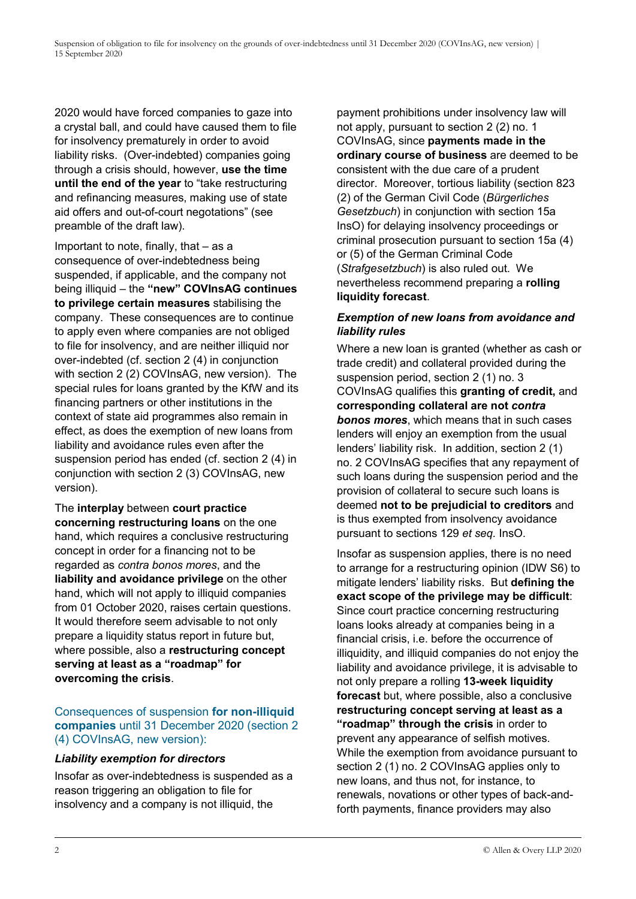2020 would have forced companies to gaze into a crystal ball, and could have caused them to file for insolvency prematurely in order to avoid liability risks. (Over-indebted) companies going through a crisis should, however, **use the time until the end of the year** to "take restructuring and refinancing measures, making use of state aid offers and out-of-court negotations" (see preamble of the draft law).

Important to note, finally, that – as a consequence of over-indebtedness being suspended, if applicable, and the company not being illiquid – the **"new" COVInsAG continues to privilege certain measures** stabilising the company. These consequences are to continue to apply even where companies are not obliged to file for insolvency, and are neither illiquid nor over-indebted (cf. section 2 (4) in conjunction with section 2 (2) COVInsAG, new version). The special rules for loans granted by the KfW and its financing partners or other institutions in the context of state aid programmes also remain in effect, as does the exemption of new loans from liability and avoidance rules even after the suspension period has ended (cf. section 2 (4) in conjunction with section 2 (3) COVInsAG, new version).

The **interplay** between **court practice concerning restructuring loans** on the one hand, which requires a conclusive restructuring concept in order for a financing not to be regarded as *contra bonos mores*, and the **liability and avoidance privilege** on the other hand, which will not apply to illiquid companies from 01 October 2020, raises certain questions. It would therefore seem advisable to not only prepare a liquidity status report in future but, where possible, also a **restructuring concept serving at least as a "roadmap" for overcoming the crisis**.

#### Consequences of suspension **for non-illiquid companies** until 31 December 2020 (section 2 (4) COVInsAG, new version):

#### *Liability exemption for directors*

Insofar as over-indebtedness is suspended as a reason triggering an obligation to file for insolvency and a company is not illiquid, the

payment prohibitions under insolvency law will not apply, pursuant to section 2 (2) no. 1 COVInsAG, since **payments made in the ordinary course of business** are deemed to be consistent with the due care of a prudent director. Moreover, tortious liability (section 823 (2) of the German Civil Code (*Bürgerliches Gesetzbuch*) in conjunction with section 15a InsO) for delaying insolvency proceedings or criminal prosecution pursuant to section 15a (4) or (5) of the German Criminal Code (*Strafgesetzbuch*) is also ruled out. We nevertheless recommend preparing a **rolling liquidity forecast**.

#### *Exemption of new loans from avoidance and liability rules*

Where a new loan is granted (whether as cash or trade credit) and collateral provided during the suspension period, section 2 (1) no. 3 COVInsAG qualifies this **granting of credit,** and **corresponding collateral are not** *contra bonos mores*, which means that in such cases lenders will enjoy an exemption from the usual lenders' liability risk. In addition, section 2 (1) no. 2 COVInsAG specifies that any repayment of such loans during the suspension period and the provision of collateral to secure such loans is deemed **not to be prejudicial to creditors** and is thus exempted from insolvency avoidance pursuant to sections 129 *et seq.* InsO.

Insofar as suspension applies, there is no need to arrange for a restructuring opinion (IDW S6) to mitigate lenders' liability risks. But **defining the exact scope of the privilege may be difficult**: Since court practice concerning restructuring loans looks already at companies being in a financial crisis, i.e. before the occurrence of illiquidity, and illiquid companies do not enjoy the liability and avoidance privilege, it is advisable to not only prepare a rolling **13-week liquidity forecast** but, where possible, also a conclusive **restructuring concept serving at least as a "roadmap" through the crisis** in order to prevent any appearance of selfish motives. While the exemption from avoidance pursuant to section 2 (1) no. 2 COVInsAG applies only to new loans, and thus not, for instance, to renewals, novations or other types of back-andforth payments, finance providers may also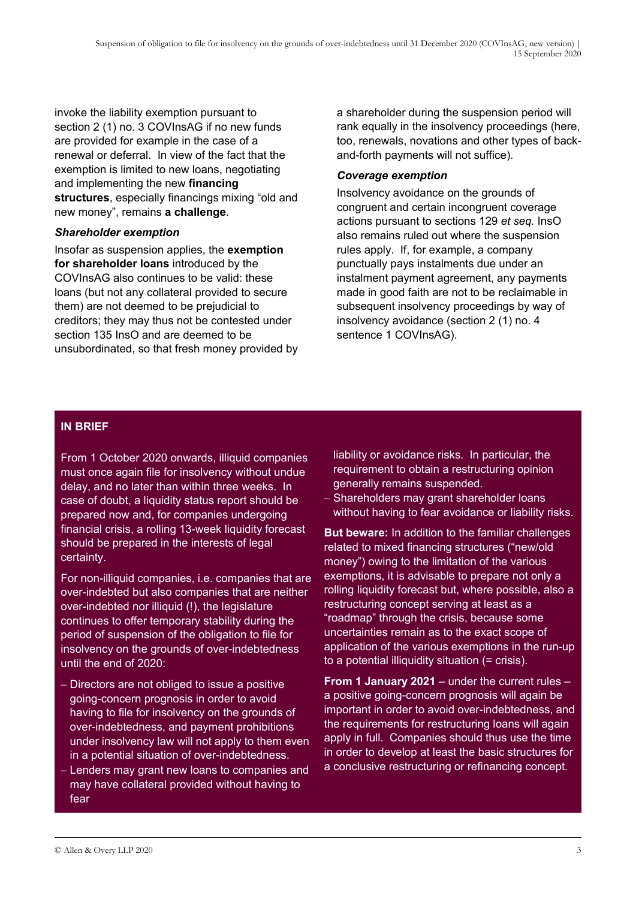invoke the liability exemption pursuant to section 2 (1) no. 3 COVInsAG if no new funds are provided for example in the case of a renewal or deferral. In view of the fact that the exemption is limited to new loans, negotiating and implementing the new **financing structures**, especially financings mixing "old and new money", remains **a challenge**.

#### *Shareholder exemption*

Insofar as suspension applies, the **exemption for shareholder loans** introduced by the COVInsAG also continues to be valid: these loans (but not any collateral provided to secure them) are not deemed to be prejudicial to creditors; they may thus not be contested under section 135 InsO and are deemed to be unsubordinated, so that fresh money provided by a shareholder during the suspension period will rank equally in the insolvency proceedings (here, too, renewals, novations and other types of backand-forth payments will not suffice).

#### *Coverage exemption*

Insolvency avoidance on the grounds of congruent and certain incongruent coverage actions pursuant to sections 129 *et seq.* InsO also remains ruled out where the suspension rules apply. If, for example, a company punctually pays instalments due under an instalment payment agreement, any payments made in good faith are not to be reclaimable in subsequent insolvency proceedings by way of insolvency avoidance (section 2 (1) no. 4 sentence 1 COVInsAG).

#### **IN BRIEF**

From 1 October 2020 onwards, illiquid companies must once again file for insolvency without undue delay, and no later than within three weeks. In case of doubt, a liquidity status report should be prepared now and, for companies undergoing financial crisis, a rolling 13-week liquidity forecast should be prepared in the interests of legal certainty.

For non-illiquid companies, i.e. companies that are over-indebted but also companies that are neither over-indebted nor illiquid (!), the legislature continues to offer temporary stability during the period of suspension of the obligation to file for insolvency on the grounds of over-indebtedness until the end of 2020:

- − Directors are not obliged to issue a positive going-concern prognosis in order to avoid having to file for insolvency on the grounds of over-indebtedness, and payment prohibitions under insolvency law will not apply to them even in a potential situation of over-indebtedness.
- − Lenders may grant new loans to companies and may have collateral provided without having to fear

liability or avoidance risks. In particular, the requirement to obtain a restructuring opinion generally remains suspended.

− Shareholders may grant shareholder loans without having to fear avoidance or liability risks.

**But beware:** In addition to the familiar challenges related to mixed financing structures ("new/old money") owing to the limitation of the various exemptions, it is advisable to prepare not only a rolling liquidity forecast but, where possible, also a restructuring concept serving at least as a "roadmap" through the crisis, because some uncertainties remain as to the exact scope of application of the various exemptions in the run-up to a potential illiquidity situation (= crisis).

**From 1 January 2021** – under the current rules – a positive going-concern prognosis will again be important in order to avoid over-indebtedness, and the requirements for restructuring loans will again apply in full. Companies should thus use the time in order to develop at least the basic structures for a conclusive restructuring or refinancing concept.